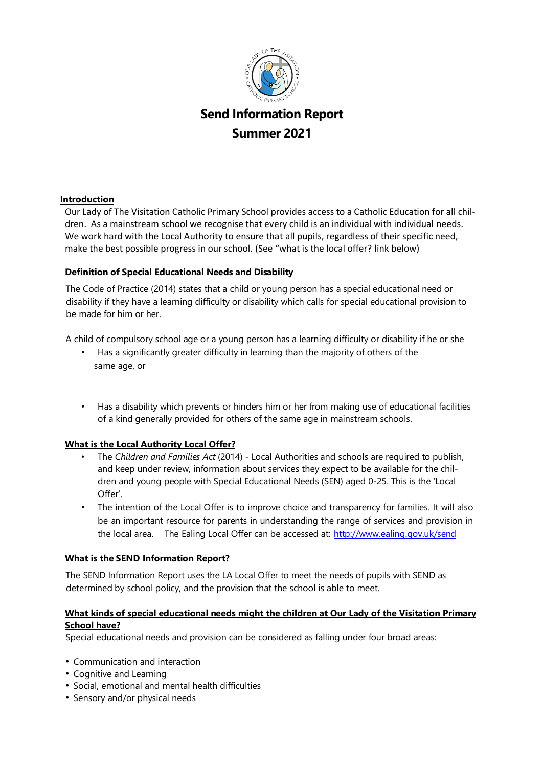

# **Send Information Report Summer 2021**

## **Introduction**

Our Lady of The Visitation Catholic Primary School provides access to a Catholic Education for all children. As a mainstream school we recognise that every child is an individual with individual needs. We work hard with the Local Authority to ensure that all pupils, regardless of their specific need, make the best possible progress in our school. (See "what is the local offer? link below)

# **Definition of Special Educational Needs and Disability**

The Code of Practice (2014) states that a child or young person has a special educational need or disability if they have a learning difficulty or disability which calls for special educational provision to be made for him or her.

A child of compulsory school age or a young person has a learning difficulty or disability if he or she

- Has a significantly greater difficulty in learning than the majority of others of the same age, or
- Has a disability which prevents or hinders him or her from making use of educational facilities of a kind generally provided for others of the same age in mainstream schools.

# **What is the Local Authority Local Offer?**

- The *Children and Families Act* (2014) Local Authorities and schools are required to publish, and keep under review, information about services they expect to be available for the children and young people with Special Educational Needs (SEN) aged 0-25. This is the 'Local Offer'.
- The intention of the Local Offer is to improve choice and transparency for families. It will also be an important resource for parents in understanding the range of services and provision in the local area. The Ealing Local Offer can be accessed at: <http://www.ealing.gov.uk/send>

# **What is the SEND Information Report?**

The SEND Information Report uses the LA Local Offer to meet the needs of pupils with SEND as determined by school policy, and the provision that the school is able to meet.

# **What kinds of special educational needs might the children at Our Lady of the Visitation Primary School have?**

Special educational needs and provision can be considered as falling under four broad areas:

- Communication and interaction
- Cognitive and Learning
- Social, emotional and mental health difficulties
- Sensory and/or physical needs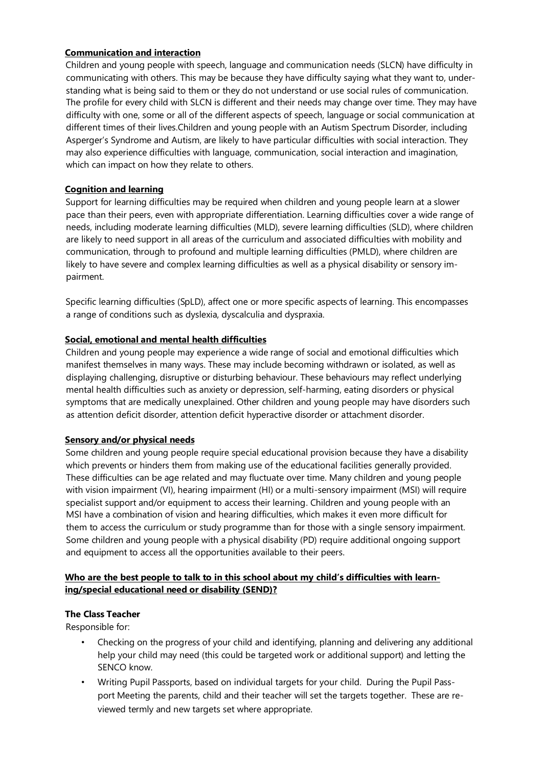#### **Communication and interaction**

Children and young people with speech, language and communication needs (SLCN) have difficulty in communicating with others. This may be because they have difficulty saying what they want to, understanding what is being said to them or they do not understand or use social rules of communication. The profile for every child with SLCN is different and their needs may change over time. They may have difficulty with one, some or all of the different aspects of speech, language or social communication at different times of their lives.Children and young people with an Autism Spectrum Disorder, including Asperger's Syndrome and Autism, are likely to have particular difficulties with social interaction. They may also experience difficulties with language, communication, social interaction and imagination, which can impact on how they relate to others.

# **Cognition and learning**

Support for learning difficulties may be required when children and young people learn at a slower pace than their peers, even with appropriate differentiation. Learning difficulties cover a wide range of needs, including moderate learning difficulties (MLD), severe learning difficulties (SLD), where children are likely to need support in all areas of the curriculum and associated difficulties with mobility and communication, through to profound and multiple learning difficulties (PMLD), where children are likely to have severe and complex learning difficulties as well as a physical disability or sensory impairment.

Specific learning difficulties (SpLD), affect one or more specific aspects of learning. This encompasses a range of conditions such as dyslexia, dyscalculia and dyspraxia.

## **Social, emotional and mental health difficulties**

Children and young people may experience a wide range of social and emotional difficulties which manifest themselves in many ways. These may include becoming withdrawn or isolated, as well as displaying challenging, disruptive or disturbing behaviour. These behaviours may reflect underlying mental health difficulties such as anxiety or depression, self-harming, eating disorders or physical symptoms that are medically unexplained. Other children and young people may have disorders such as attention deficit disorder, attention deficit hyperactive disorder or attachment disorder.

#### **Sensory and/or physical needs**

Some children and young people require special educational provision because they have a disability which prevents or hinders them from making use of the educational facilities generally provided. These difficulties can be age related and may fluctuate over time. Many children and young people with vision impairment (VI), hearing impairment (HI) or a multi-sensory impairment (MSI) will require specialist support and/or equipment to access their learning. Children and young people with an MSI have a combination of vision and hearing difficulties, which makes it even more difficult for them to access the curriculum or study programme than for those with a single sensory impairment. Some children and young people with a physical disability (PD) require additional ongoing support and equipment to access all the opportunities available to their peers.

# Who are the best people to talk to in this school about my child's difficulties with learn**ing/special educational need or disability (SEND)?**

# **The Class Teacher**

Responsible for:

- Checking on the progress of your child and identifying, planning and delivering any additional help your child may need (this could be targeted work or additional support) and letting the SENCO know.
- Writing Pupil Passports, based on individual targets for your child. During the Pupil Passport Meeting the parents, child and their teacher will set the targets together. These are reviewed termly and new targets set where appropriate.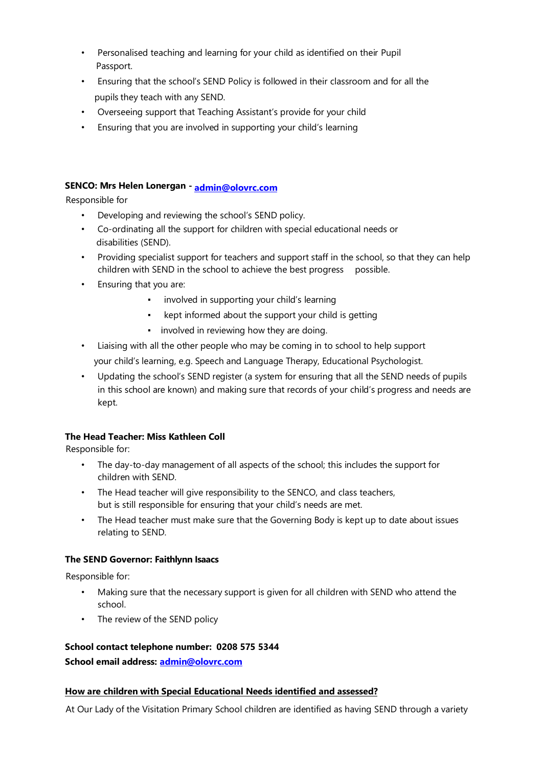- Personalised teaching and learning for your child as identified on their Pupil Passport.
- Ensuring that the school's SEND Policy is followed in their classroom and for all the pupils they teach with any SEND.
- Overseeing support that Teaching Assistant's provide for your child
- Ensuring that you are involved in supporting your child's learning

# **SENCO: Mrs Helen Lonergan - [admin@olovrc.com](mailto:admin@olovrc.com)**

Responsible for

- Developing and reviewing the school's SEND policy.
- Co-ordinating all the support for children with special educational needs or disabilities (SEND).
- Providing specialist support for teachers and support staff in the school, so that they can help children with SEND in the school to achieve the best progress possible.
- Ensuring that you are:
	- involved in supporting your child's learning
	- kept informed about the support your child is getting
	- involved in reviewing how they are doing.
- Liaising with all the other people who may be coming in to school to help support your child's learning, e.g. Speech and Language Therapy, Educational Psychologist.
- Updating the school's SEND register (a system for ensuring that all the SEND needs of pupils in this school are known) and making sure that records of your child's progress and needs are kept.

# **The Head Teacher: Miss Kathleen Coll**

Responsible for:

- The day-to-day management of all aspects of the school; this includes the support for children with SEND.
- The Head teacher will give responsibility to the SENCO, and class teachers, but is still responsible for ensuring that your child's needs are met.
- The Head teacher must make sure that the Governing Body is kept up to date about issues relating to SEND.

# **The SEND Governor: Faithlynn Isaacs**

Responsible for:

- Making sure that the necessary support is given for all children with SEND who attend the school.
- The review of the SEND policy

# **School contact telephone number: 0208 575 5344**

**School email address: [admin@olovrc.com](mailto:admin@olovrc.com)**

# **How are children with Special Educational Needs identified and assessed?**

At Our Lady of the Visitation Primary School children are identified as having SEND through a variety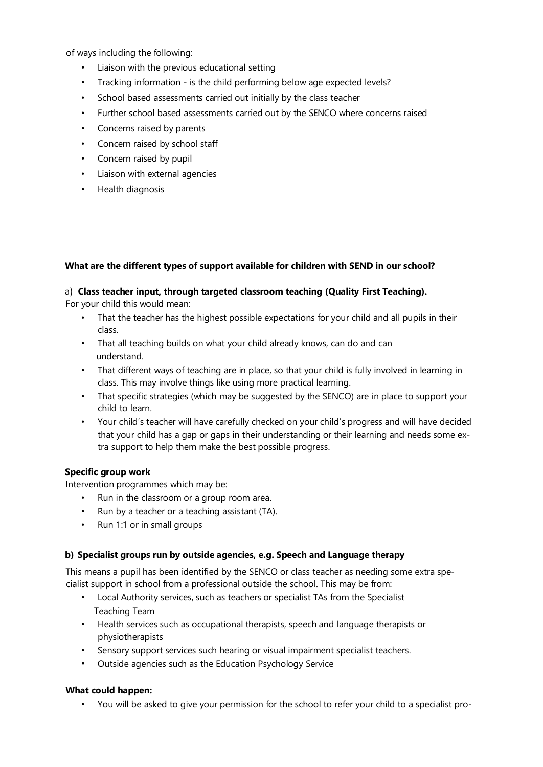of ways including the following:

- Liaison with the previous educational setting
- Tracking information is the child performing below age expected levels?
- School based assessments carried out initially by the class teacher
- Further school based assessments carried out by the SENCO where concerns raised
- Concerns raised by parents
- Concern raised by school staff
- Concern raised by pupil
- Liaison with external agencies
- Health diagnosis

## **What are the different types of support available for children with SEND in our school?**

## a) **Class teacher input, through targeted classroom teaching (Quality First Teaching).**

For your child this would mean:

- That the teacher has the highest possible expectations for your child and all pupils in their class.
- That all teaching builds on what your child already knows, can do and can understand.
- That different ways of teaching are in place, so that your child is fully involved in learning in class. This may involve things like using more practical learning.
- That specific strategies (which may be suggested by the SENCO) are in place to support your child to learn.
- Your child's teacher will have carefully checked on your child's progress and will have decided that your child has a gap or gaps in their understanding or their learning and needs some extra support to help them make the best possible progress.

#### **Specific group work**

Intervention programmes which may be:

- Run in the classroom or a group room area.
- Run by a teacher or a teaching assistant (TA).
- Run 1:1 or in small groups

#### **b) Specialist groups run by outside agencies, e.g. Speech and Language therapy**

This means a pupil has been identified by the SENCO or class teacher as needing some extra specialist support in school from a professional outside the school. This may be from:

- Local Authority services, such as teachers or specialist TAs from the Specialist Teaching Team
- Health services such as occupational therapists, speech and language therapists or physiotherapists
- Sensory support services such hearing or visual impairment specialist teachers.
- Outside agencies such as the Education Psychology Service

# **What could happen:**

• You will be asked to give your permission for the school to refer your child to a specialist pro-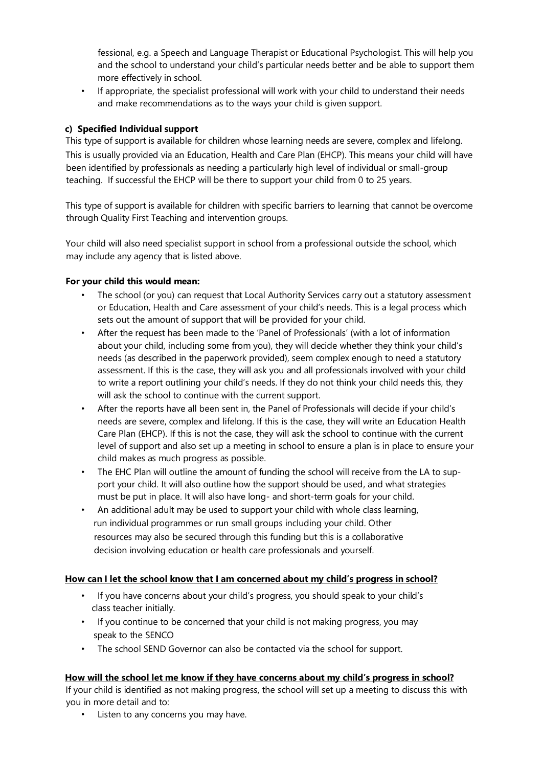fessional, e.g. a Speech and Language Therapist or Educational Psychologist. This will help you and the school to understand your child's particular needs better and be able to support them more effectively in school.

• If appropriate, the specialist professional will work with your child to understand their needs and make recommendations as to the ways your child is given support.

# **c) Specified Individual support**

This type of support is available for children whose learning needs are severe, complex and lifelong. This is usually provided via an Education, Health and Care Plan (EHCP). This means your child will have been identified by professionals as needing a particularly high level of individual or small-group teaching. If successful the EHCP will be there to support your child from 0 to 25 years.

This type of support is available for children with specific barriers to learning that cannot be overcome through Quality First Teaching and intervention groups.

Your child will also need specialist support in school from a professional outside the school, which may include any agency that is listed above.

## **For your child this would mean:**

- The school (or you) can request that Local Authority Services carry out a statutory assessment or Education, Health and Care assessment of your child's needs. This is a legal process which sets out the amount of support that will be provided for your child.
- After the request has been made to the 'Panel of Professionals' (with a lot of information about your child, including some from you), they will decide whether they think your child's needs (as described in the paperwork provided), seem complex enough to need a statutory assessment. If this is the case, they will ask you and all professionals involved with your child to write a report outlining your child's needs. If they do not think your child needs this, they will ask the school to continue with the current support.
- After the reports have all been sent in, the Panel of Professionals will decide if your child's needs are severe, complex and lifelong. If this is the case, they will write an Education Health Care Plan (EHCP). If this is not the case, they will ask the school to continue with the current level of support and also set up a meeting in school to ensure a plan is in place to ensure your child makes as much progress as possible.
- The EHC Plan will outline the amount of funding the school will receive from the LA to support your child. It will also outline how the support should be used, and what strategies must be put in place. It will also have long- and short-term goals for your child.
- An additional adult may be used to support your child with whole class learning, run individual programmes or run small groups including your child. Other resources may also be secured through this funding but this is a collaborative decision involving education or health care professionals and yourself.

#### **How can I let the school know that I am concerned about my child's progress in school?**

- If you have concerns about your child's progress, you should speak to your child's class teacher initially.
- If you continue to be concerned that your child is not making progress, you may speak to the SENCO
- The school SEND Governor can also be contacted via the school for support.

#### **How will the school let me know if they have concerns about my child's progress in school?**

If your child is identified as not making progress, the school will set up a meeting to discuss this with you in more detail and to:

• Listen to any concerns you may have.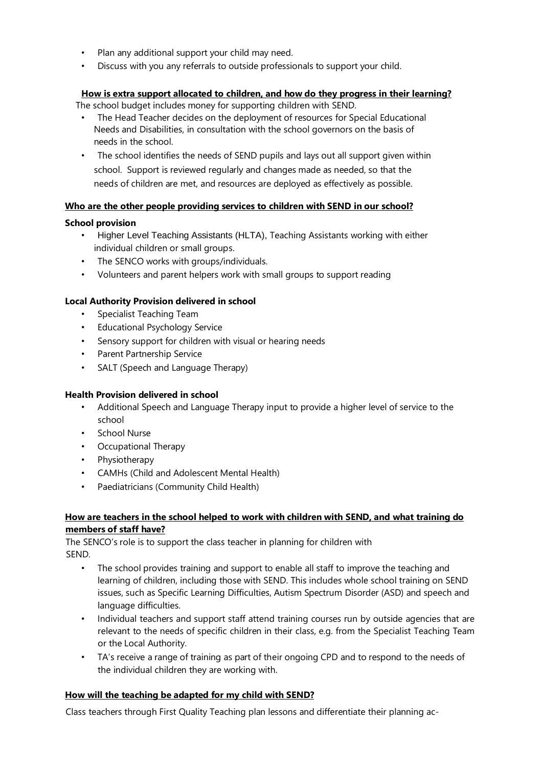- Plan any additional support your child may need.
- Discuss with you any referrals to outside professionals to support your child.

# **How is extra support allocated to children, and how do they progress in their learning?**

The school budget includes money for supporting children with SEND.

- The Head Teacher decides on the deployment of resources for Special Educational Needs and Disabilities, in consultation with the school governors on the basis of needs in the school.
- The school identifies the needs of SEND pupils and lays out all support given within school. Support is reviewed regularly and changes made as needed, so that the needs of children are met, and resources are deployed as effectively as possible.

# **Who are the other people providing services to children with SEND in our school?**

# **School provision**

- Higher Level Teaching Assistants (HLTA), Teaching Assistants working with either individual children or small groups.
- The SENCO works with groups/individuals.
- Volunteers and parent helpers work with small groups to support reading

# **Local Authority Provision delivered in school**

- Specialist Teaching Team
- Educational Psychology Service
- Sensory support for children with visual or hearing needs
- Parent Partnership Service
- SALT (Speech and Language Therapy)

# **Health Provision delivered in school**

- Additional Speech and Language Therapy input to provide a higher level of service to the school
- School Nurse
- Occupational Therapy
- Physiotherapy
- CAMHs (Child and Adolescent Mental Health)
- Paediatricians (Community Child Health)

## **How are teachers in the school helped to work with children with SEND, and what training do members of staff have?**

The SENCO's role is to support the class teacher in planning for children with SEND.

- The school provides training and support to enable all staff to improve the teaching and learning of children, including those with SEND. This includes whole school training on SEND issues, such as Specific Learning Difficulties, Autism Spectrum Disorder (ASD) and speech and language difficulties.
- Individual teachers and support staff attend training courses run by outside agencies that are relevant to the needs of specific children in their class, e.g. from the Specialist Teaching Team or the Local Authority.
- TA's receive a range of training as part of their ongoing CPD and to respond to the needs of the individual children they are working with.

# **How will the teaching be adapted for my child with SEND?**

Class teachers through First Quality Teaching plan lessons and differentiate their planning ac-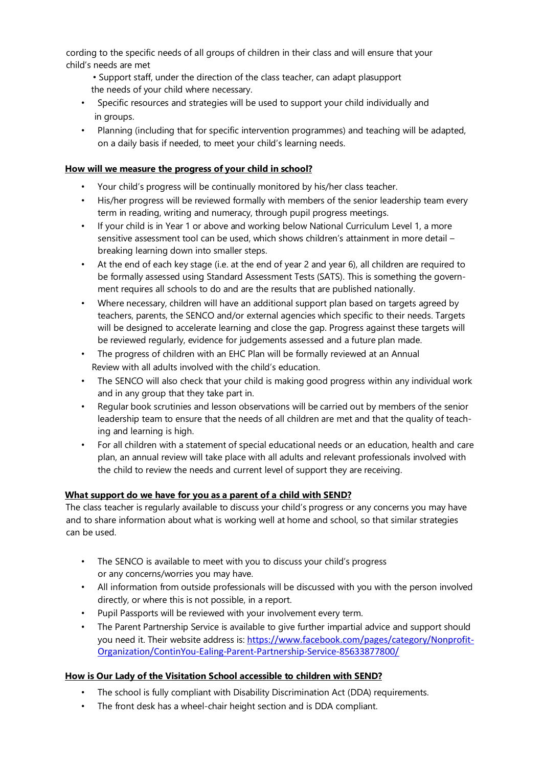cording to the specific needs of all groups of children in their class and will ensure that your child's needs are met

- Support staff, under the direction of the class teacher, can adapt plasupport the needs of your child where necessary.
- Specific resources and strategies will be used to support your child individually and in groups.
- Planning (including that for specific intervention programmes) and teaching will be adapted, on a daily basis if needed, to meet your child's learning needs.

## **How will we measure the progress of your child in school?**

- Your child's progress will be continually monitored by his/her class teacher.
- His/her progress will be reviewed formally with members of the senior leadership team every term in reading, writing and numeracy, through pupil progress meetings.
- If your child is in Year 1 or above and working below National Curriculum Level 1, a more sensitive assessment tool can be used, which shows children's attainment in more detail – breaking learning down into smaller steps.
- At the end of each key stage (i.e. at the end of year 2 and year 6), all children are required to be formally assessed using Standard Assessment Tests (SATS). This is something the government requires all schools to do and are the results that are published nationally.
- Where necessary, children will have an additional support plan based on targets agreed by teachers, parents, the SENCO and/or external agencies which specific to their needs. Targets will be designed to accelerate learning and close the gap. Progress against these targets will be reviewed regularly, evidence for judgements assessed and a future plan made.
- The progress of children with an EHC Plan will be formally reviewed at an Annual Review with all adults involved with the child's education.
- The SENCO will also check that your child is making good progress within any individual work and in any group that they take part in.
- Regular book scrutinies and lesson observations will be carried out by members of the senior leadership team to ensure that the needs of all children are met and that the quality of teaching and learning is high.
- For all children with a statement of special educational needs or an education, health and care plan, an annual review will take place with all adults and relevant professionals involved with the child to review the needs and current level of support they are receiving.

# **What support do we have for you as a parent of a child with SEND?**

The class teacher is regularly available to discuss your child's progress or any concerns you may have and to share information about what is working well at home and school, so that similar strategies can be used.

- The SENCO is available to meet with you to discuss your child's progress or any concerns/worries you may have.
- All information from outside professionals will be discussed with you with the person involved directly, or where this is not possible, in a report.
- Pupil Passports will be reviewed with your involvement every term.
- The Parent Partnership Service is available to give further impartial advice and support should you need it. Their website address is: [https://www.facebook.com/pages/category/Nonprofit-](https://www.facebook.com/pages/category/Nonprofit-Organization/ContinYou-Ealing-Parent-Partnership-Service-85633877800/)[Organization/ContinYou-Ealing-Parent-Partnership-Service-85633877800/](https://www.facebook.com/pages/category/Nonprofit-Organization/ContinYou-Ealing-Parent-Partnership-Service-85633877800/)

# **How is Our Lady of the Visitation School accessible to children with SEND?**

- The school is fully compliant with Disability Discrimination Act (DDA) requirements.
- The front desk has a wheel-chair height section and is DDA compliant.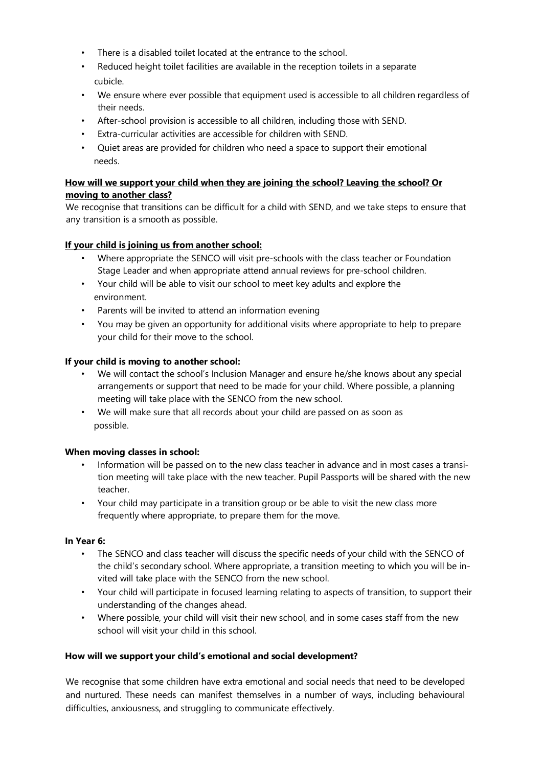- There is a disabled toilet located at the entrance to the school.
- Reduced height toilet facilities are available in the reception toilets in a separate cubicle.
- We ensure where ever possible that equipment used is accessible to all children regardless of their needs.
- After-school provision is accessible to all children, including those with SEND.
- Extra-curricular activities are accessible for children with SEND.
- Quiet areas are provided for children who need a space to support their emotional needs.

# **How will we support your child when they are joining the school? Leaving the school? Or moving to another class?**

We recognise that transitions can be difficult for a child with SEND, and we take steps to ensure that any transition is a smooth as possible.

# **If your child is joining us from another school:**

- Where appropriate the SENCO will visit pre-schools with the class teacher or Foundation Stage Leader and when appropriate attend annual reviews for pre-school children.
- Your child will be able to visit our school to meet key adults and explore the environment.
- Parents will be invited to attend an information evening
- You may be given an opportunity for additional visits where appropriate to help to prepare your child for their move to the school.

# **If your child is moving to another school:**

- We will contact the school's Inclusion Manager and ensure he/she knows about any special arrangements or support that need to be made for your child. Where possible, a planning meeting will take place with the SENCO from the new school.
- We will make sure that all records about your child are passed on as soon as possible.

# **When moving classes in school:**

- Information will be passed on to the new class teacher in advance and in most cases a transition meeting will take place with the new teacher. Pupil Passports will be shared with the new teacher.
- Your child may participate in a transition group or be able to visit the new class more frequently where appropriate, to prepare them for the move.

#### **In Year 6:**

- The SENCO and class teacher will discuss the specific needs of your child with the SENCO of the child's secondary school. Where appropriate, a transition meeting to which you will be invited will take place with the SENCO from the new school.
- Your child will participate in focused learning relating to aspects of transition, to support their understanding of the changes ahead.
- Where possible, your child will visit their new school, and in some cases staff from the new school will visit your child in this school.

#### **How will we support your child's emotional and social development?**

We recognise that some children have extra emotional and social needs that need to be developed and nurtured. These needs can manifest themselves in a number of ways, including behavioural difficulties, anxiousness, and struggling to communicate effectively.